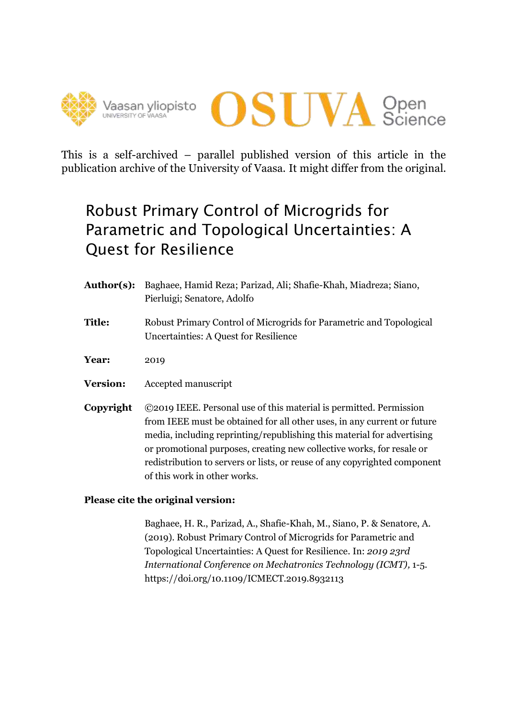



This is a self-archived – parallel published version of this article in the publication archive of the University of Vaasa. It might differ from the original.

## Robust Primary Control of Microgrids for Parametric and Topological Uncertainties: A Quest for Resilience

| Author(s):      | Baghaee, Hamid Reza; Parizad, Ali; Shafie-Khah, Miadreza; Siano,<br>Pierluigi; Senatore, Adolfo                                                                                                                                                                                                                                                                                                               |
|-----------------|---------------------------------------------------------------------------------------------------------------------------------------------------------------------------------------------------------------------------------------------------------------------------------------------------------------------------------------------------------------------------------------------------------------|
| <b>Title:</b>   | Robust Primary Control of Microgrids for Parametric and Topological<br><b>Uncertainties: A Quest for Resilience</b>                                                                                                                                                                                                                                                                                           |
| Year:           | 2019                                                                                                                                                                                                                                                                                                                                                                                                          |
| <b>Version:</b> | Accepted manuscript                                                                                                                                                                                                                                                                                                                                                                                           |
| Copyright       | ©2019 IEEE. Personal use of this material is permitted. Permission<br>from IEEE must be obtained for all other uses, in any current or future<br>media, including reprinting/republishing this material for advertising<br>or promotional purposes, creating new collective works, for resale or<br>redistribution to servers or lists, or reuse of any copyrighted component<br>of this work in other works. |

### **Please cite the original version:**

Baghaee, H. R., Parizad, A., Shafie-Khah, M., Siano, P. & Senatore, A. (2019). Robust Primary Control of Microgrids for Parametric and Topological Uncertainties: A Quest for Resilience. In: *2019 23rd International Conference on Mechatronics Technology (ICMT),* 1-5. https://doi.org/10.1109/ICMECT.2019.8932113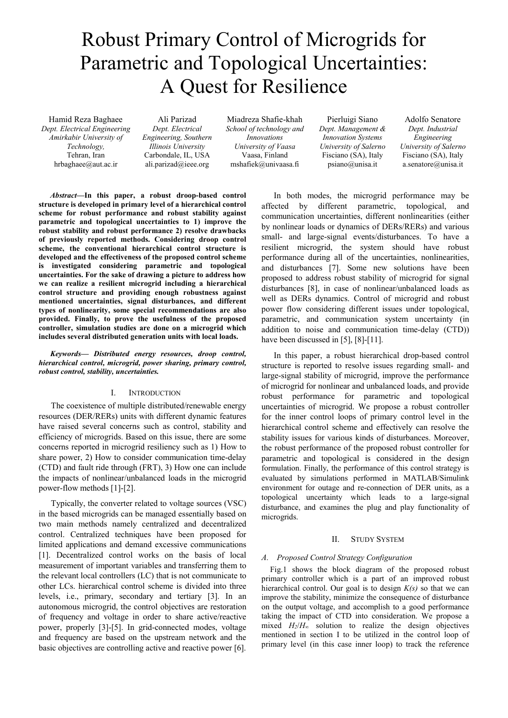# Robust Primary Control of Microgrids for Parametric and Topological Uncertainties: A Quest for Resilience

Hamid Reza Baghaee *Dept. Electrical Engineering Amirkabir University of Technology,*  Tehran, Iran hrbaghaee@aut.ac.ir

Ali Parizad *Dept. Electrical Engineering, Southern Illinois University*  Carbondale, IL, USA ali.parizad@ieee.org

Miadreza Shafie-khah *School of technology and Innovations University of Vaasa* Vaasa, Finland mshafiek@univaasa.fi

Pierluigi Siano *Dept. Management & Innovation Systems University of Salerno* Fisciano (SA), Italy psiano@unisa.it

Adolfo Senatore *Dept. Industrial Engineering University of Salerno* Fisciano (SA), Italy a.senatore@unisa.it

*Abstract***—In this paper, a robust droop-based control structure is developed in primary level of a hierarchical control scheme for robust performance and robust stability against parametric and topological uncertainties to 1) improve the robust stability and robust performance 2) resolve drawbacks of previously reported methods. Considering droop control scheme, the conventional hierarchical control structure is developed and the effectiveness of the proposed control scheme is investigated considering parametric and topological uncertainties. For the sake of drawing a picture to address how we can realize a resilient microgrid including a hierarchical control structure and providing enough robustness against mentioned uncertainties, signal disturbances, and different types of nonlinearity, some special recommendations are also provided. Finally, to prove the usefulness of the proposed controller, simulation studies are done on a microgrid which includes several distributed generation units with local loads.**

*Keywords— Distributed energy resources, droop control, hierarchical control, microgrid, power sharing, primary control, robust control, stability, uncertainties.* 

#### I. INTRODUCTION

The coexistence of multiple distributed/renewable energy resources (DER/RERs) units with different dynamic features have raised several concerns such as control, stability and efficiency of microgrids. Based on this issue, there are some concerns reported in microgrid resiliency such as 1) How to share power, 2) How to consider communication time-delay (CTD) and fault ride through (FRT), 3) How one can include the impacts of nonlinear/unbalanced loads in the microgrid power-flow methods [1]-[2].

Typically, the converter related to voltage sources (VSC) in the based microgrids can be managed essentially based on two main methods namely centralized and decentralized control. Centralized techniques have been proposed for limited applications and demand excessive communications [1]. Decentralized control works on the basis of local measurement of important variables and transferring them to the relevant local controllers (LC) that is not communicate to other LCs. hierarchical control scheme is divided into three levels, i.e., primary, secondary and tertiary [3]. In an autonomous microgrid, the control objectives are restoration of frequency and voltage in order to share active/reactive power, properly [3]-[5]. In grid-connected modes, voltage and frequency are based on the upstream network and the basic objectives are controlling active and reactive power [6].

In both modes, the microgrid performance may be affected by different parametric, topological, and communication uncertainties, different nonlinearities (either by nonlinear loads or dynamics of DERs/RERs) and various small- and large-signal events/disturbances. To have a resilient microgrid, the system should have robust performance during all of the uncertainties, nonlinearities, and disturbances [7]. Some new solutions have been proposed to address robust stability of microgrid for signal disturbances [8], in case of nonlinear/unbalanced loads as well as DERs dynamics. Control of microgrid and robust power flow considering different issues under topological, parametric, and communication system uncertainty (in addition to noise and communication time-delay (CTD)) have been discussed in [5], [8]-[11].

In this paper, a robust hierarchical drop-based control structure is reported to resolve issues regarding small- and large-signal stability of microgrid, improve the performance of microgrid for nonlinear and unbalanced loads, and provide robust performance for parametric and topological uncertainties of microgrid. We propose a robust controller for the inner control loops of primary control level in the hierarchical control scheme and effectively can resolve the stability issues for various kinds of disturbances. Moreover, the robust performance of the proposed robust controller for parametric and topological is considered in the design formulation. Finally, the performance of this control strategy is evaluated by simulations performed in MATLAB/Simulink environment for outage and re-connection of DER units, as a topological uncertainty which leads to a large-signal disturbance, and examines the plug and play functionality of microgrids.

#### II. STUDY SYSTEM

#### *A. Proposed Control Strategy Configuration*

Fig.1 shows the block diagram of the proposed robust primary controller which is a part of an improved robust hierarchical control. Our goal is to design *K(s)* so that we can improve the stability, minimize the consequence of disturbance on the output voltage, and accomplish to a good performance taking the impact of CTD into consideration. We propose a mixed *H2*/*H∞* solution to realize the design objectives mentioned in section I to be utilized in the control loop of primary level (in this case inner loop) to track the reference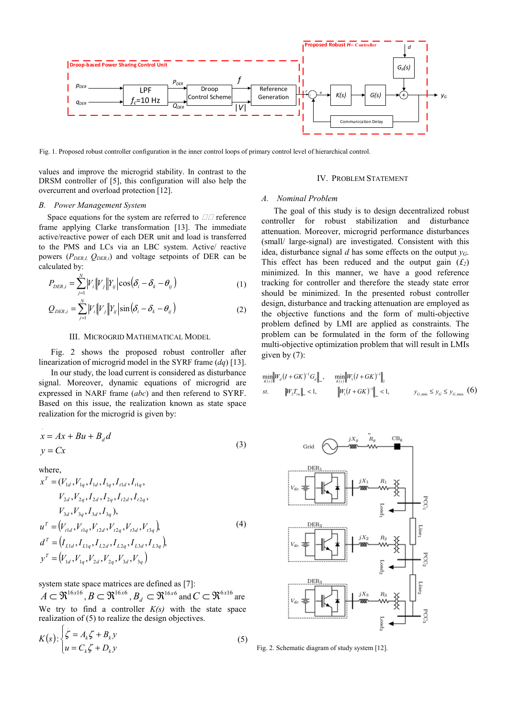

Fig. 1. Proposed robust controller configuration in the inner control loops of primary control level of hierarchical control.

values and improve the microgrid stability. In contrast to the DRSM controller of [5], this configuration will also help the overcurrent and overload protection [12].

#### *B. Power Management System*

Space equations for the system are referred to  $\Box \Box$  reference frame applying Clarke transformation [13]. The immediate active/reactive power of each DER unit and load is transferred to the PMS and LCs via an LBC system. Active/ reactive powers (*PDER,I, QDER,i*) and voltage setpoints of DER can be calculated by:

$$
P_{DER,i} = \sum_{j=1}^{N} |V_i||V_j||Y_{ij}|\cos(\delta_i - \delta_k - \theta_{ij})
$$
\n(1)

$$
Q_{DER,i} = \sum_{j=1}^{N} |V_i||V_j||\mathbf{Y}_{ij}|\sin(\delta_i - \delta_k - \theta_{ij})
$$
\n(2)

#### III. MICROGRID MATHEMATICAL MODEL

Fig. 2 shows the proposed robust controller after linearization of microgrid model in the SYRF frame (*dq*) [13].

In our study, the load current is considered as disturbance signal. Moreover, dynamic equations of microgrid are expressed in NARF frame (*abc*) and then referend to SYRF. Based on this issue, the realization known as state space realization for the microgrid is given by:

$$
x = Ax + Bu + B_d d
$$
  
\n
$$
y = Cx
$$
\n(3)

where,

$$
x^{T} = (V_{1d}, V_{1q}, I_{1d}, I_{1q}, I_{t1d}, I_{t1q},
$$
  
\n
$$
V_{2d}, V_{2q}, I_{2d}, I_{2q}, I_{t2d}, I_{t2q},
$$
  
\n
$$
V_{3d}, V_{3q}, I_{3d}, I_{3q},
$$
  
\n
$$
u^{T} = (V_{t1d}, V_{t1q}, V_{t2d}, V_{t2q}, V_{t3d}, V_{t3q}),
$$
  
\n
$$
d^{T} = (I_{L1d}, I_{L1q}, I_{L2d}, I_{L2q}, I_{L3d}, I_{L3q}),
$$
  
\n
$$
y^{T} = (V_{1d}, V_{1q}, V_{2d}, V_{2q}, V_{3d}, V_{3q})
$$
  
\n(4)

system state space matrices are defined as [7]:

 $A \subset \mathfrak{R}^{16x16}$ ,  $B \subset \mathfrak{R}^{16x6}$ ,  $B_d \subset \mathfrak{R}^{16x6}$  and  $C \subset \mathfrak{R}^{6x16}$  are We try to find a controller  $K(s)$  with the state space realization of (5) to realize the design objectives.

$$
K(s): \begin{cases} \zeta = A_k \zeta + B_k y \\ u = C_k \zeta + D_k y \end{cases}
$$
 (5)

#### IV. PROBLEM STATEMENT

#### *A. Nominal Problem*

The goal of this study is to design decentralized robust controller for robust stabilization and disturbance attenuation. Moreover, microgrid performance disturbances (small/ large-signal) are investigated. Consistent with this idea, disturbance signal *d* has some effects on the output *yG*. This effect has been reduced and the output gain  $(f_2)$ minimized. In this manner, we have a good reference tracking for controller and therefore the steady state error should be minimized. In the presented robust controller design, disturbance and tracking attenuation are employed as the objective functions and the form of multi-objective problem defined by LMI are applied as constraints. The problem can be formulated in the form of the following multi-objective optimization problem that will result in LMIs given by (7):

$$
\min_{K(s)} \left\| W_d (I + GK)^{-1} G_d \right\|_{\infty}, \quad \min_{K(s)} \left\| W_1 (I + GK)^{-1} \right\|_2
$$
\n
$$
st. \qquad \left\| W_2 T_m \right\|_{\infty} < 1, \qquad \left\| W_1 (I + GK)^{-1} \right\|_{\infty} < 1, \qquad \qquad y_{G, \min} \le y_G \le y_{G, \max} \tag{6}
$$



Fig. 2. Schematic diagram of study system [12].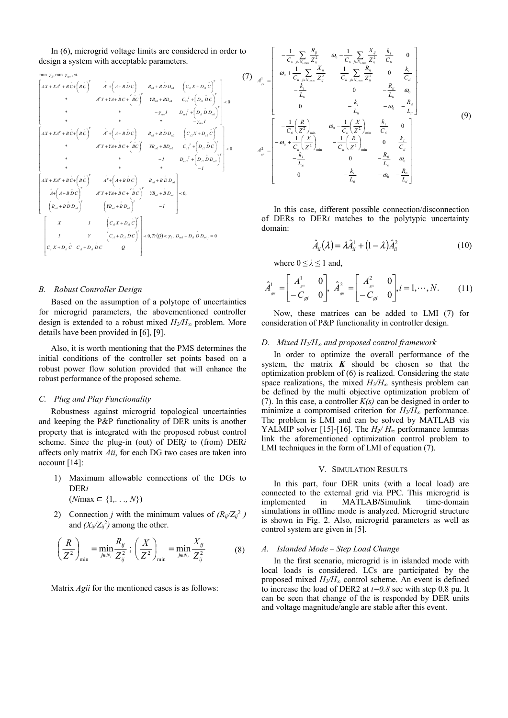In (6), microgrid voltage limits are considered in order to design a system with acceptable parameters.

$$
\begin{bmatrix}\n\min \gamma_{2}, \min \gamma_{m=}, st. \\
AX + XA^{T} + B \hat{C} + \left( B \hat{C} \right)^{T} & A^{T} + \left( A + B \hat{D} C \right) & B_{ad} + B \hat{D} D_{ad} & \left( C_{a} X + D_{a} \hat{C} \right)^{T} \\
* & A^{T} Y + YA + \hat{B} C + \left( \hat{B} C \right)^{T} & YB_{ad} + B D_{ad} & C_{a}{}^{T} + \left( D_{a} \hat{D} C \right)^{T} \\
* & * & -\gamma_{m} I & D_{ad}{}^{T} + \left( D_{a} \hat{D} D_{ad} \right)^{T} \\
* & * & * & -\gamma_{m} I\n\end{bmatrix}
$$
\n
$$
\begin{bmatrix}\nAX + XA^{T} + B \hat{C} + \left( B \hat{C} \right)^{T} & A^{T} + \left( A + B \hat{D} C \right) & B_{ad} + B \hat{D} D_{a2} & \left( C_{a} X + D_{a2} \hat{C} \right)^{T} \\
* & * & A^{T} Y + YA + \hat{B} C + \left( \hat{B} C \right)^{T} & YB_{ad} + B \hat{D} D_{a2} & C_{a}{}^{T} + \left( D_{a2} \hat{D} C \right)^{T} \\
* & * & -I & D_{ad}{}^{T} + \left( D_{a2} \hat{D} D_{a2} \right)^{T} \\
* & * & * & -I\n\end{bmatrix}
$$
\n
$$
\begin{bmatrix}\nAX + XA^{T} + B \hat{C} + \left( B \hat{C} \right)^{T} & A^{T} Y + YA + \hat{B} C + \left( \hat{B} C \right)^{T} & YB_{ad} + \hat{B} D D_{ad} \\
A + \left( A + B \hat{D} C \right)^{T} & A^{T} Y + YA + \hat{B} C + \left( \hat{B} C \right)^{T} & YB_{ad} + \hat{B} D D_{ad} \\
\left( B_{ad} + B \hat{D} D_{ad} \right)^{T} & \left( YB_{ad} + \hat{B} D_{ad} \right)^{T} & -I\n\end{bmatrix} \le 0,
$$
\n
$$
\begin{bmatrix}\nX & I & \left( C_{
$$

#### *B. Robust Controller Design*

Based on the assumption of a polytope of uncertainties for microgrid parameters, the abovementioned controller design is extended to a robust mixed *H2/H∞* problem. More details have been provided in [6], [9].

Also, it is worth mentioning that the PMS determines the initial conditions of the controller set points based on a robust power flow solution provided that will enhance the robust performance of the proposed scheme.

#### *C. Plug and Play Functionality*

Robustness against microgrid topological uncertainties and keeping the P&P functionality of DER units is another property that is integrated with the proposed robust control scheme. Since the plug-in (out) of DER*j* to (from) DER*i*  affects only matrix *Aii*, for each DG two cases are taken into account [14]:

- 1) Maximum allowable connections of the DGs to DER*i* (*Ni*max ⊂ {1*,. . ., N*})
	-
- 2) Connection *j* with the minimum values of  $(R_{ij}/Z_{ij}^2)$ and  $(X_{ij}/Z_{ij}^2)$  among the other.

$$
\left(\frac{R}{Z^2}\right)_{\min} = \min_{j \in N_i} \frac{R_{ij}}{Z_{ij}^2}; \left(\frac{X}{Z^2}\right)_{\min} = \min_{j \in N_i} \frac{X_{ij}}{Z_{ij}^2}
$$
(8)

Matrix *Agii* for the mentioned cases is as follows:

$$
(7) \quad A_{\rm g}^{1} = \begin{bmatrix} -\frac{1}{C_{ii}} \sum_{j \in N_{i,\rm max}} \frac{R_{ij}}{Z_{ij}^{2}} & \omega_{0} - \frac{1}{C_{ii}} \sum_{j \in N_{i,\rm max}} \frac{X_{ij}}{Z_{ij}^{2}} & \frac{k_{i}}{C_{ii}} & 0\\ -\omega_{0} + \frac{1}{C_{ii}} \sum_{j \in N_{i,\rm max}} \frac{X_{ij}}{Z_{ij}^{2}} & -\frac{1}{C_{ii}} \sum_{j \in N_{i,\rm max}} \frac{R_{ij}}{Z_{ij}^{2}} & 0 & \frac{k_{i}}{C_{ii}}\\ -\frac{k_{i}}{L_{ii}} & 0 & -\frac{R_{ii}}{L_{ii}} & \omega_{0}\\ 0 & -\frac{k_{i}}{L_{ii}} & -\omega_{0} & -\frac{R_{ii}}{L_{ii}} \end{bmatrix}
$$
\n
$$
A_{\rm g}^{2} = \begin{bmatrix} -\frac{1}{C_{ii}} \left(\frac{R}{Z^{2}}\right)_{\min} & \omega_{0} - \frac{1}{C_{ii}} \left(\frac{X}{Z^{2}}\right)_{\min} & \frac{k_{i}}{C_{ii}} & 0\\ -\frac{k_{i}}{L_{ii}} & 0 & -\frac{1}{C_{ii}} \left(\frac{R}{Z^{2}}\right)_{\min} & 0 & \frac{k_{i}}{C_{ii}}\\ -\frac{k_{i}}{L_{ii}} & 0 & -\frac{R_{ii}}{L_{ii}} & \omega_{0}\\ 0 & & -\frac{k_{i}}{L_{ii}} & -\omega_{0} & -\frac{R_{ii}}{L_{ii}} \end{bmatrix}
$$
\n
$$
(9)
$$

In this case, different possible connection/disconnection of DERs to DER*i* matches to the polytypic uncertainty domain:

$$
\hat{A}_{ii}(\lambda) = \lambda \hat{A}_{ii}^1 + (1 - \lambda)\hat{A}_{ii}^2
$$
 (10)

where  $0 \leq \lambda \leq 1$  and,

$$
\hat{A}^{1}_{s^{ii}} = \begin{bmatrix} A^{1}_{s^{ii}} & 0 \\ -C_{si} & 0 \end{bmatrix}, \ \hat{A}^{2}_{s^{ii}} = \begin{bmatrix} A^{2}_{s^{ii}} & 0 \\ -C_{gi} & 0 \end{bmatrix}, i = 1, \cdots, N. \tag{11}
$$

Now, these matrices can be added to LMI (7) for consideration of P&P functionality in controller design.

#### *D. Mixed H2/H∞ and proposed control framework*

In order to optimize the overall performance of the system, the matrix  $K$  should be chosen so that the optimization problem of (6) is realized. Considering the state space realizations, the mixed *H*<sub>2</sub>/*H*<sub>∞</sub> synthesis problem can be defined by the multi objective optimization problem of (7). In this case, a controller *K(s)* can be designed in order to minimize a compromised criterion for *H2/H∞* performance. The problem is LMI and can be solved by MATLAB via YALMIP solver [15]-[16]. The *H2/ H∞* performance lemmas link the aforementioned optimization control problem to LMI techniques in the form of LMI of equation (7).

#### V. SIMULATION RESULTS

In this part, four DER units (with a local load) are connected to the external grid via PPC. This microgrid is implemented in MATLAB/Simulink time-domain simulations in offline mode is analyzed. Microgrid structure is shown in Fig. 2. Also, microgrid parameters as well as control system are given in [5].

#### *A. Islanded Mode – Step Load Change*

In the first scenario, microgrid is in islanded mode with local loads is considered. LCs are participated by the proposed mixed *H2/H∞* control scheme. An event is defined to increase the load of DER2 at *t=0.8* sec with step 0.8 pu. It can be seen that change of the is responded by DER units and voltage magnitude/angle are stable after this event.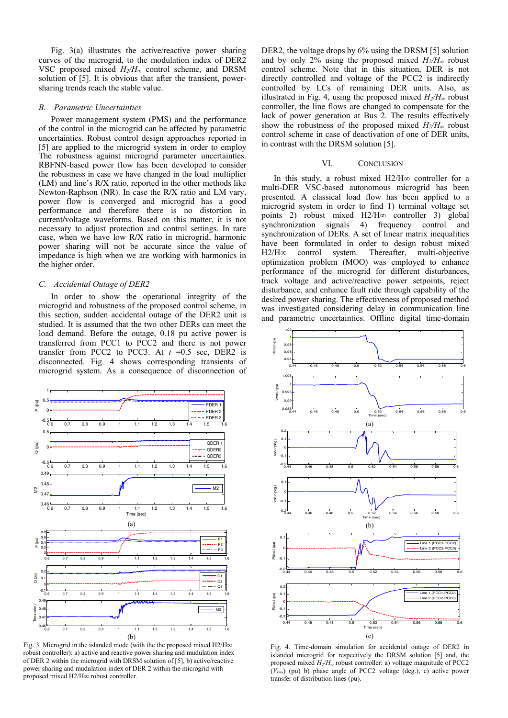Fig. 3(a) illustrates the active/reactive power sharing curves of the microgrid, to the modulation index of DER2 VSC proposed mixed *H2/H∞* control scheme, and DRSM solution of [5]. It is obvious that after the transient, powersharing trends reach the stable value.

#### *B. Parametric Uncertainties*

Power management system (PMS) and the performance of the control in the microgrid can be affected by parametric uncertainties. Robust control design approaches reported in [5] are applied to the microgrid system in order to employ The robustness against microgrid parameter uncertainties. RBFNN-based power flow has been developed to consider the robustness in case we have changed in the load multiplier (LM) and line's R/X ratio, reported in the other methods like Newton-Raphson (NR). In case the R/X ratio and LM vary, power flow is converged and microgrid has a good performance and therefore there is no distortion in current/voltage waveforms. Based on this matter, it is not necessary to adjust protection and control settings. In rare case, when we have low R/X ratio in microgrid, harmonic power sharing will not be accurate since the value of impedance is high when we are working with harmonics in the higher order.

#### *C. Accidental Outage of DER2*

In order to show the operational integrity of the microgrid and robustness of the proposed control scheme, in this section, sudden accidental outage of the DER2 unit is studied. It is assumed that the two other DERs can meet the load demand. Before the outage, 0.18 pu active power is transferred from PCC1 to PCC2 and there is not power transfer from PCC2 to PCC3. At  $t = 0.5$  sec, DER2 is disconnected. Fig. 4 shows corresponding transients of microgrid system. As a consequence of disconnection of



Fig. 3. Microgrid in the islanded mode (with the the proposed mixed H2/H∞ robust controller): a) active and reactive power sharing and mudulation index of DER 2 within the microgrid with DRSM solution of [5], b) active/reactive power sharing and mudulation index of DER 2 within the microgrid with proposed mixed H2/H∞ robust controller.

DER2, the voltage drops by 6% using the DRSM [5] solution and by only 2% using the proposed mixed  $H_2/H_\infty$  robust control scheme. Note that in this situation, DER is not directly controlled and voltage of the PCC2 is indirectly controlled by LCs of remaining DER units. Also, as illustrated in Fig. 4, using the proposed mixed  $H_2/H_∞$  robust controller, the line flows are changed to compensate for the lack of power generation at Bus 2. The results effectively show the robustness of the proposed mixed  $H_2/H_∞$  robust control scheme in case of deactivation of one of DER units, in contrast with the DRSM solution [5].

#### VI. CONCLUSION

In this study, a robust mixed H2/H∞ controller for a multi-DER VSC-based autonomous microgrid has been presented. A classical load flow has been applied to a microgrid system in order to find 1) terminal voltage set points 2) robust mixed H2/H∞ controller 3) global synchronization signals 4) frequency control and synchronization of DERs. A set of linear matrix inequalities have been formulated in order to design robust mixed H2/H∞ control system. Thereafter, multi-objective optimization problem (MOO) was employed to enhance performance of the microgrid for different disturbances, track voltage and active/reactive power setpoints, reject disturbance, and enhance fault ride through capability of the desired power sharing. The effectiveness of proposed method was investigated considering delay in communication line and parametric uncertainties. Offline digital time-domain



Fig. 4. Time-domain simulation for accidental outage of DER2 in islanded microgrid for respectively the DRSM solution [5] and, the proposed mixed *H2/H∞* robust controller: a) voltage magnitude of PCC2 (*Vrms*) (pu) b) phase angle of PCC2 voltage (deg.), c) active power transfer of distribution lines (pu).